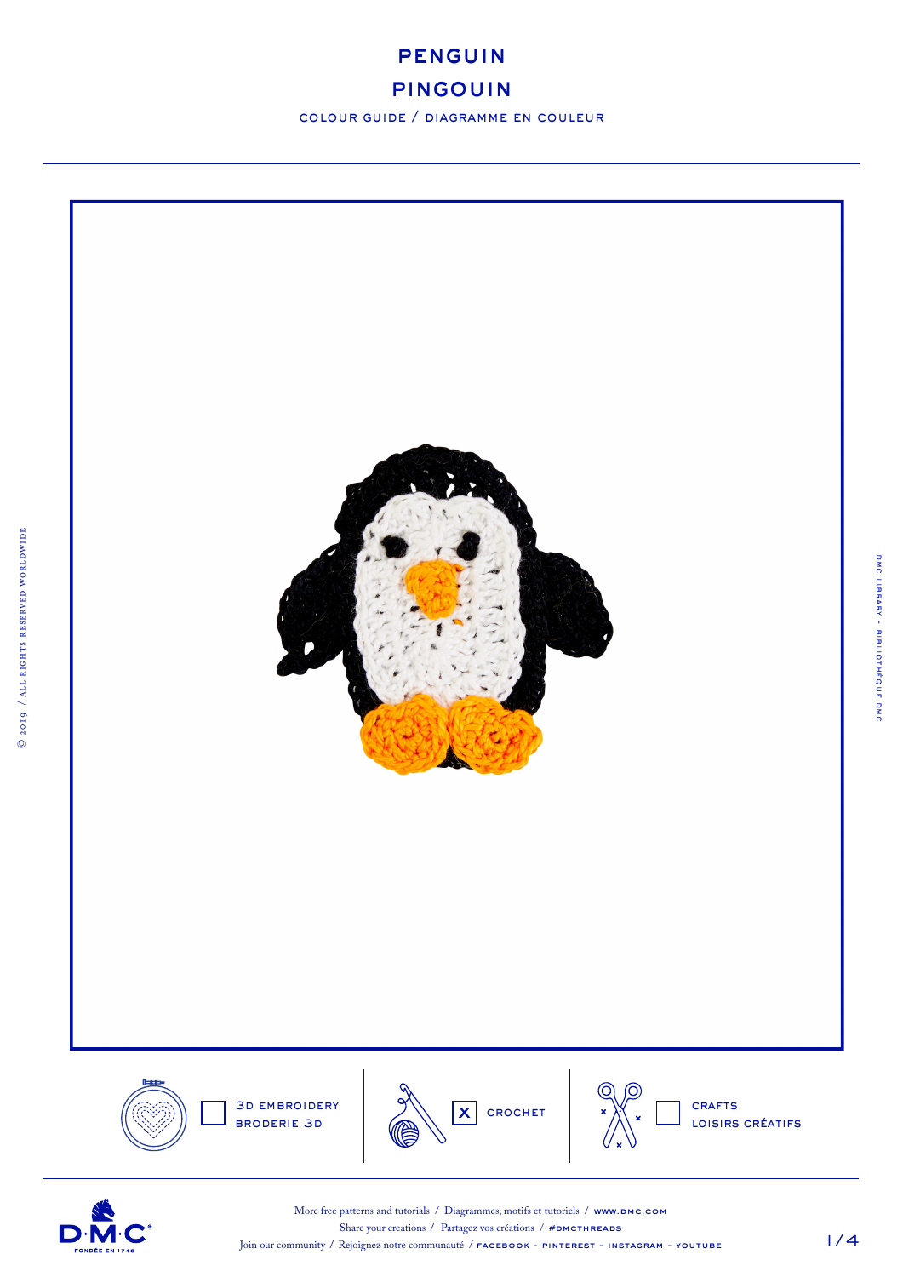

## pingouin

colour guide / diagramme en couleur



1/4

dmc library - bibliothèque dmc

DMC LIBRARY - BIBLIOTHÈQUE DMC



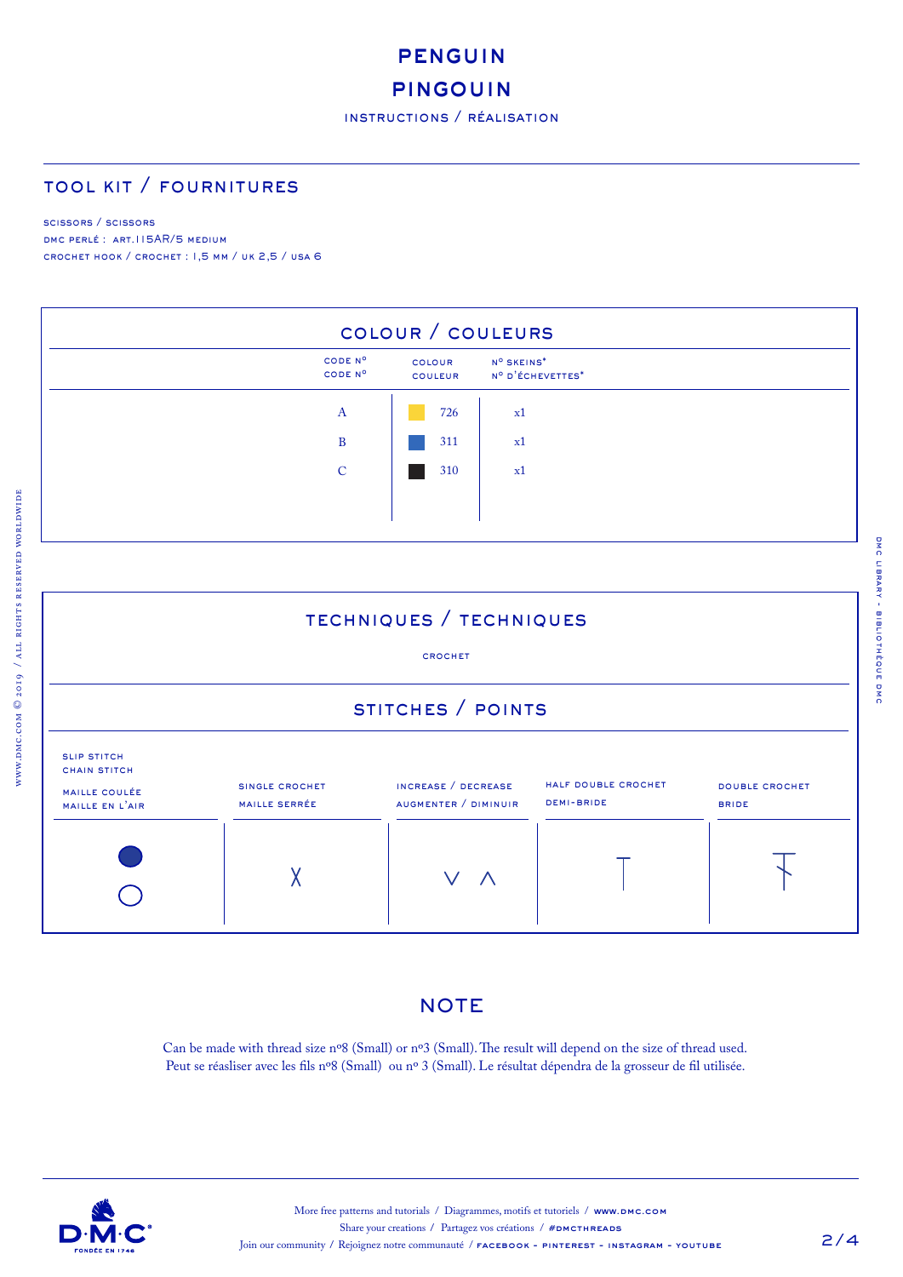# penguin

## **PINGOUIN**

## tool kit / fournitures

#### scissors / scissors

www.dmc.com © 2019 / all rights reserved worldwide

DMC PERLÉ : ART.115AR/5 MEDIUM crochet hook / crochet : 1,5 mm / uk 2,5 / usa 6



## techniques / techniques

#### crochet

# stitches / points



#### **NOTE**

Can be made with thread size nº8 (Small) or nº3 (Small). The result will depend on the size of thread used. Peut se réasliser avec les fils nº8 (Small) ou nº 3 (Small). Le résultat dépendra de la grosseur de fil utilisée.

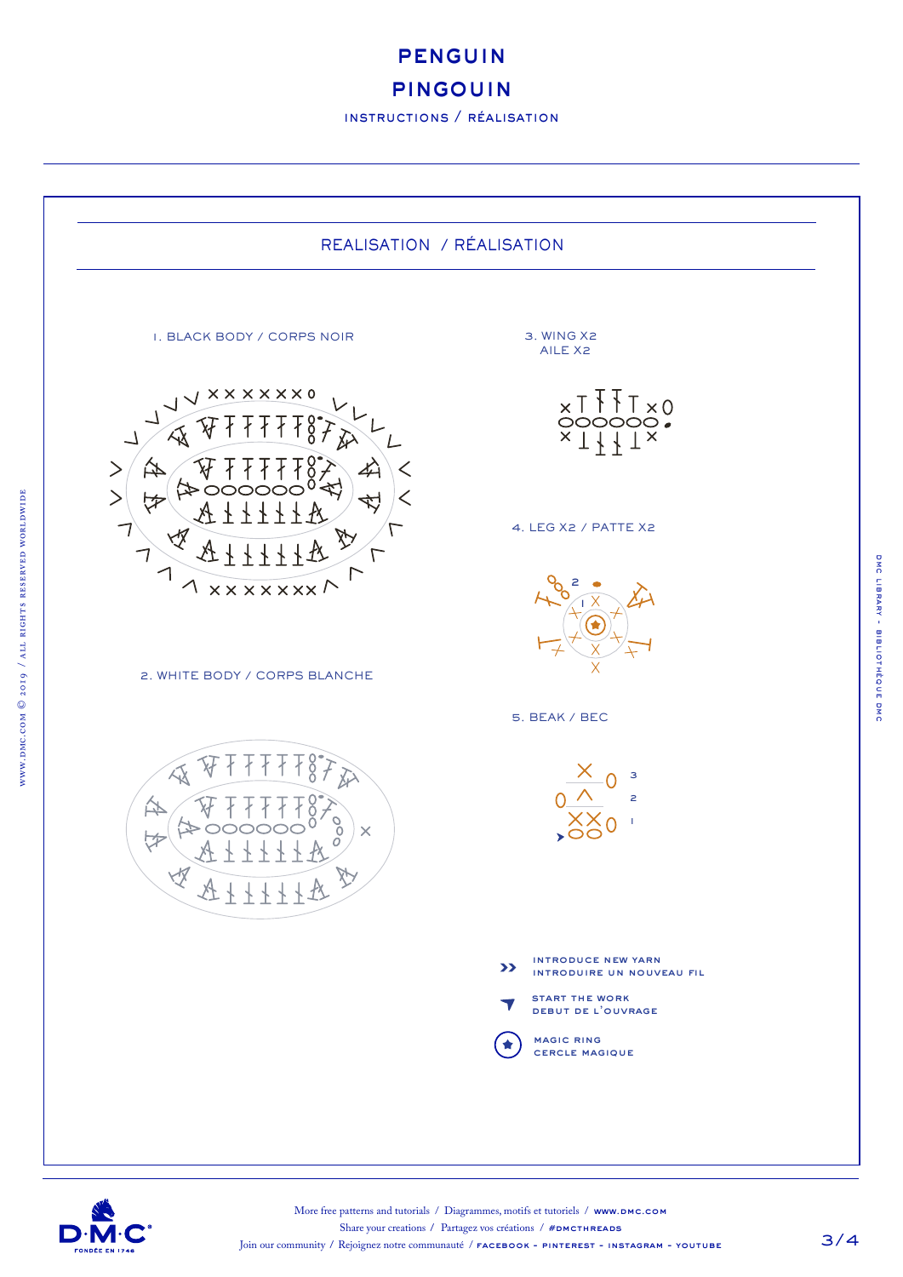penguin

#### pingouin

instructions / réalisation





www.dmc.com © 2019 / all rights reserved worldwide

 $www.pmc.com@2019$  / ALL RIGHTS RESERVED WORLDWIDE